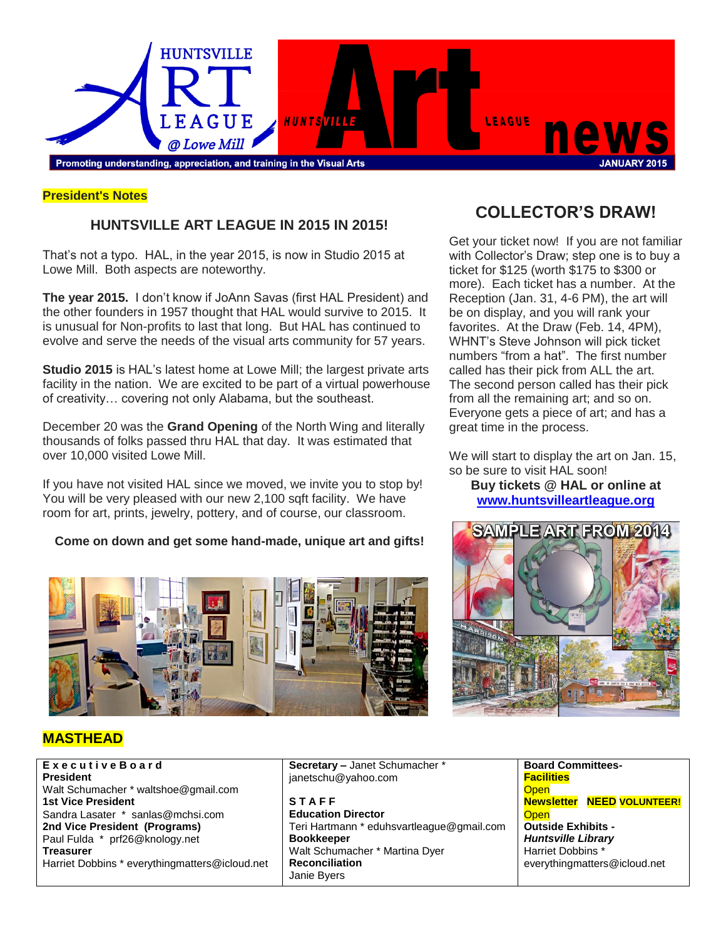

### **President's Notes**

### **HUNTSVILLE ART LEAGUE IN 2015 IN 2015!**

That's not a typo. HAL, in the year 2015, is now in Studio 2015 at Lowe Mill. Both aspects are noteworthy.

**The year 2015.** I don't know if JoAnn Savas (first HAL President) and the other founders in 1957 thought that HAL would survive to 2015. It is unusual for Non-profits to last that long. But HAL has continued to evolve and serve the needs of the visual arts community for 57 years.

**Studio 2015** is HAL's latest home at Lowe Mill; the largest private arts facility in the nation. We are excited to be part of a virtual powerhouse of creativity… covering not only Alabama, but the southeast.

December 20 was the **Grand Opening** of the North Wing and literally thousands of folks passed thru HAL that day. It was estimated that over 10,000 visited Lowe Mill.

If you have not visited HAL since we moved, we invite you to stop by! You will be very pleased with our new 2,100 sqft facility. We have room for art, prints, jewelry, pottery, and of course, our classroom.

#### **Come on down and get some hand-made, unique art and gifts!**



## **COLLECTOR'S DRAW!**

Get your ticket now! If you are not familiar with Collector's Draw; step one is to buy a ticket for \$125 (worth \$175 to \$300 or more). Each ticket has a number. At the Reception (Jan. 31, 4-6 PM), the art will be on display, and you will rank your favorites. At the Draw (Feb. 14, 4PM), WHNT's Steve Johnson will pick ticket numbers "from a hat". The first number called has their pick from ALL the art. The second person called has their pick from all the remaining art; and so on. Everyone gets a piece of art; and has a great time in the process.

We will start to display the art on Jan. 15, so be sure to visit HAL soon! **Buy tickets @ HAL or online at** 

### **<www.huntsvilleartleague.org>**



### **MASTHEAD**

**E x e c u t i v e B o a r d President** Walt Schumacher \* waltshoe@gmail.com **1st Vice President** Sandra Lasater \* sanlas@mchsi.com **2nd Vice President (Programs)** Paul Fulda \* prf26@knology.net **Treasurer** Harriet Dobbins \* everythingmatters@icloud.net **Secretary –** Janet Schumacher \* janetschu@yahoo.com

**S T A F F Education Director** Teri Hartmann \* eduhsvartleague@gmail.com **Bookkeeper** Walt Schumacher \* Martina Dyer **Reconciliation** Janie Byers

**Board Committees-Facilities Open Newsletter NEED VOLUNTEER! Open Outside Exhibits -** *Huntsville Library* Harriet Dobbins \* everythingmatters@icloud.net